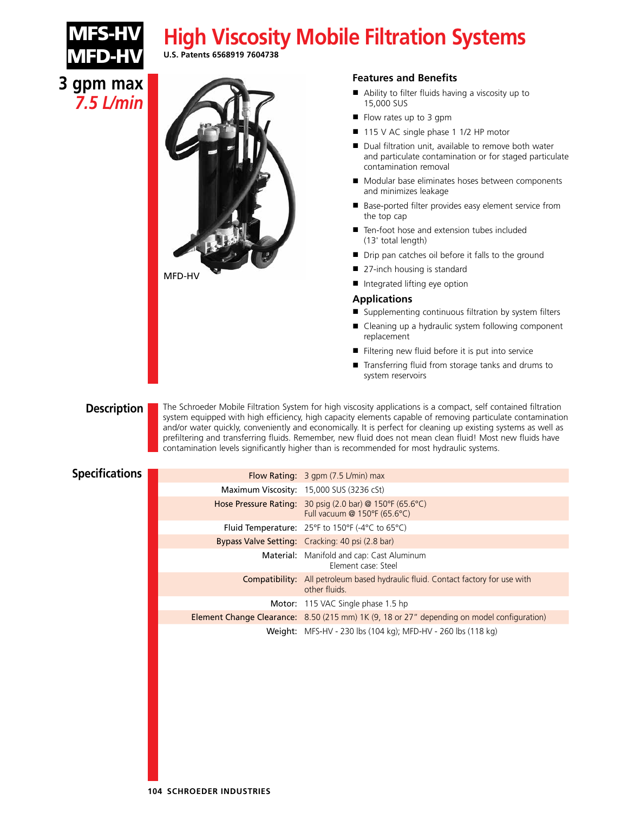# **High Viscosity Mobile Filtration Systems**



**3 gpm max** *7.5 L/min* **U.S. Patents 6568919 7604738**



#### **Features and Benefits**

- Ability to filter fluids having a viscosity up to 15,000 SUS
- Flow rates up to 3 gpm
- 115 V AC single phase 1 1/2 HP motor
- Dual filtration unit, available to remove both water and particulate contamination or for staged particulate contamination removal
- Modular base eliminates hoses between components and minimizes leakage
- Base-ported filter provides easy element service from the top cap
- Ten-foot hose and extension tubes included (13' total length)
- Drip pan catches oil before it falls to the ground
- 27-inch housing is standard
- **■** Integrated lifting eye option

#### **Applications**

- Supplementing continuous filtration by system filters
- Cleaning up a hydraulic system following component replacement
- **■** Filtering new fluid before it is put into service
- **■** Transferring fluid from storage tanks and drums to system reservoirs

#### **Description**

The Schroeder Mobile Filtration System for high viscosity applications is a compact, self contained filtration system equipped with high efficiency, high capacity elements capable of removing particulate contamination and/or water quickly, conveniently and economically. It is perfect for cleaning up existing systems as well as prefiltering and transferring fluids. Remember, new fluid does not mean clean fluid! Most new fluids have contamination levels significantly higher than is recommended for most hydraulic systems.

### **Specifications**

| Flow Rating: $3$ gpm (7.5 L/min) max                                                                     |
|----------------------------------------------------------------------------------------------------------|
| Maximum Viscosity: 15,000 SUS (3236 cSt)                                                                 |
| Hose Pressure Rating: 30 psig (2.0 bar) @ 150°F (65.6°C)<br>Full vacuum @ $150^{\circ}F(65.6^{\circ}C)$  |
| Fluid Temperature: $25^{\circ}F$ to 150°F (-4°C to 65°C)                                                 |
| Bypass Valve Setting: Cracking: 40 psi (2.8 bar)                                                         |
| <b>Material:</b> Manifold and cap: Cast Aluminum<br>Flement case: Steel                                  |
| <b>Compatibility:</b> All petroleum based hydraulic fluid. Contact factory for use with<br>other fluids. |
| Motor: 115 VAC Single phase 1.5 hp                                                                       |
| Element Change Clearance: 8.50 (215 mm) 1K (9, 18 or 27" depending on model configuration)               |
| Weight: MFS-HV - 230 lbs (104 kg); MFD-HV - 260 lbs (118 kg)                                             |